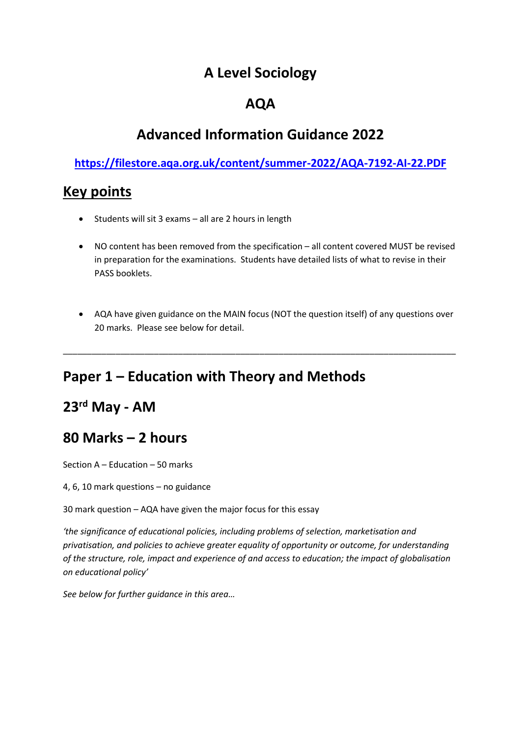### **A Level Sociology**

### **AQA**

## **Advanced Information Guidance 2022**

### **<https://filestore.aqa.org.uk/content/summer-2022/AQA-7192-AI-22.PDF>**

### **Key points**

- Students will sit 3 exams all are 2 hours in length
- NO content has been removed from the specification all content covered MUST be revised in preparation for the examinations. Students have detailed lists of what to revise in their PASS booklets.
- AQA have given guidance on the MAIN focus (NOT the question itself) of any questions over 20 marks. Please see below for detail.

\_\_\_\_\_\_\_\_\_\_\_\_\_\_\_\_\_\_\_\_\_\_\_\_\_\_\_\_\_\_\_\_\_\_\_\_\_\_\_\_\_\_\_\_\_\_\_\_\_\_\_\_\_\_\_\_\_\_\_\_\_\_\_\_\_\_\_\_\_\_\_\_\_\_\_\_\_\_\_\_\_\_

# **Paper 1 – Education with Theory and Methods**

### **23rd May - AM**

### **80 Marks – 2 hours**

Section A – Education – 50 marks

4, 6, 10 mark questions – no guidance

30 mark question – AQA have given the major focus for this essay

*'the significance of educational policies, including problems of selection, marketisation and privatisation, and policies to achieve greater equality of opportunity or outcome, for understanding of the structure, role, impact and experience of and access to education; the impact of globalisation on educational policy'*

*See below for further guidance in this area…*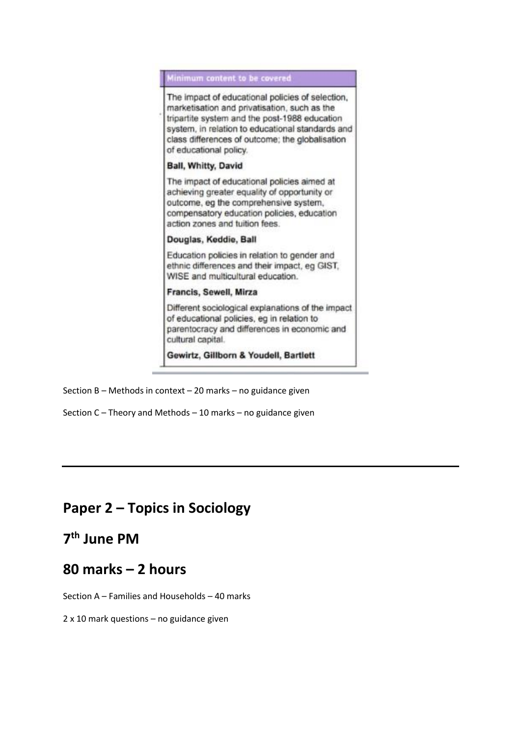#### Minimum content to be covered

The impact of educational policies of selection, marketisation and privatisation, such as the tripartite system and the post-1988 education system, in relation to educational standards and class differences of outcome; the globalisation of educational policy.

#### **Ball, Whitty, David**

The impact of educational policies aimed at achieving greater equality of opportunity or outcome, eg the comprehensive system, compensatory education policies, education action zones and tuition fees.

#### Douglas, Keddie, Ball

Education policies in relation to gender and ethnic differences and their impact, eg GIST, WISE and multicultural education.

#### Francis, Sewell, Mirza

Different sociological explanations of the impact of educational policies, eg in relation to parentocracy and differences in economic and cultural capital.

Gewirtz, Gillborn & Youdell, Bartlett

- Section B Methods in context 20 marks no guidance given
- Section C Theory and Methods 10 marks no guidance given

### **Paper 2 – Topics in Sociology**

### **7 th June PM**

### **80 marks – 2 hours**

Section A – Families and Households – 40 marks

2 x 10 mark questions – no guidance given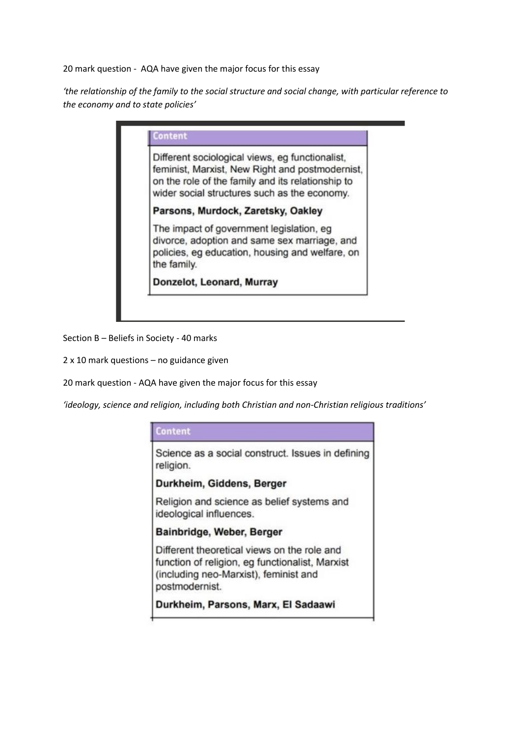20 mark question - AQA have given the major focus for this essay

*'the relationship of the family to the social structure and social change, with particular reference to the economy and to state policies'*

|             | Different sociological views, eg functionalist,<br>feminist, Marxist, New Right and postmodernist,<br>on the role of the family and its relationship to<br>wider social structures such as the economy. |
|-------------|---------------------------------------------------------------------------------------------------------------------------------------------------------------------------------------------------------|
|             | Parsons, Murdock, Zaretsky, Oakley                                                                                                                                                                      |
| the family. | The impact of government legislation, eg<br>divorce, adoption and same sex marriage, and<br>policies, eg education, housing and welfare, on                                                             |
|             | Donzelot, Leonard, Murray                                                                                                                                                                               |

Section B – Beliefs in Society - 40 marks

2 x 10 mark questions – no guidance given

20 mark question - AQA have given the major focus for this essay

*'ideology, science and religion, including both Christian and non-Christian religious traditions'* 

#### **Content**

Science as a social construct. Issues in defining religion.

Durkheim, Giddens, Berger

Religion and science as belief systems and ideological influences.

#### Bainbridge, Weber, Berger

Different theoretical views on the role and function of religion, eg functionalist, Marxist (including neo-Marxist), feminist and postmodernist.

Durkheim, Parsons, Marx, El Sadaawi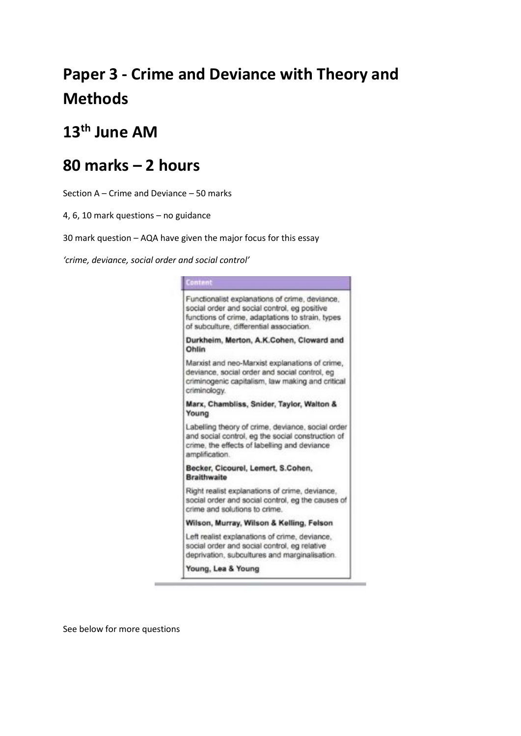# **Paper 3 - Crime and Deviance with Theory and Methods**

# **13th June AM**

# **80 marks – 2 hours**

Section A – Crime and Deviance – 50 marks

4, 6, 10 mark questions – no guidance

30 mark question – AQA have given the major focus for this essay

*'crime, deviance, social order and social control'*

| Functionalist explanations of crime, deviance,<br>social order and social control, eg positive<br>functions of crime, adaptations to strain, types<br>of subculture, differential association. |
|------------------------------------------------------------------------------------------------------------------------------------------------------------------------------------------------|
| Durkheim, Merton, A.K.Cohen, Cloward and<br>Ohlin                                                                                                                                              |
| Marxist and neo-Marxist explanations of crime,<br>deviance, social order and social control, eg<br>criminogenic capitalism, law making and critical<br>criminology.                            |
| Marx, Chambliss, Snider, Taylor, Walton &<br>Young                                                                                                                                             |
| Labelling theory of crime, deviance, social order<br>and social control, eg the social construction of<br>crime, the effects of labelling and deviance<br>amplification.                       |
| Becker, Cicourel, Lemert, S.Cohen,<br><b>Braithwaite</b>                                                                                                                                       |
| Right realist explanations of crime, deviance,<br>social order and social control, eg the causes of<br>crime and solutions to crime.                                                           |
| Wilson, Murray, Wilson & Kelling, Felson                                                                                                                                                       |
| Left realist explanations of crime, deviance,<br>social order and social control, eg relative<br>deprivation, subcultures and marginalisation.                                                 |
| Young, Lea & Young                                                                                                                                                                             |

See below for more questions